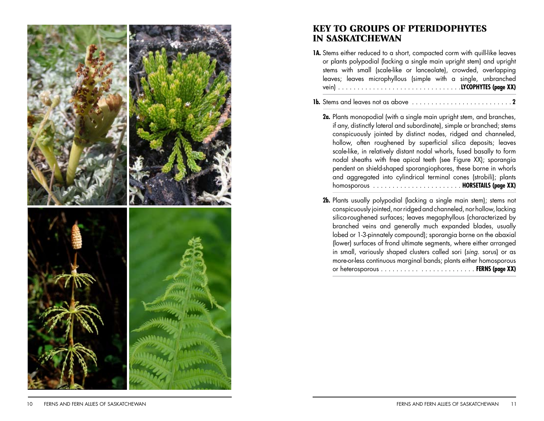

## **KEY TO GROUPS OF PTERIDOPHYTES** IN SASKATCHEWAN

- **1A.** Stems either reduced to a short, compacted corm with quill-like leaves or plants polypodial (lacking a single main upright stem) and upright stems with small (scale-like or lanceolate), crowded, overlapping leaves; leaves microphyllous (simple with a single, unbranched vein) ............................... .**LYCOPHYTES (page XX)**
- **1b.** Stems and leaves not as above ......................... . **2**
	- **2a.** Plants monopodial (with a single main upright stem, and branches, if any, distinctly lateral and subordinate), simple or branched; stems conspicuously jointed by distinct nodes, ridged and channeled, hollow, often roughened by superficial silica deposits; leaves scale-like, in relatively distant nodal whorls, fused basally to form nodal sheaths with free apical teeth (see Figure XX); sporangia pendent on shield-shaped sporangiophores, these borne in whorls and aggregated into cylindrical terminal cones (strobili); plants homosporous ...................... . **HORSETAILS (page XX)**
	- **2b.** Plants usually polypodial (lacking a single main stem); stems not conspicuously jointed, nor ridged and channeled, nor hollow, lacking silica-roughened surfaces; leaves megaphyllous (characterized by branched veins and generally much expanded blades, usually lobed or 1-3-pinnately compound); sporangia borne on the abaxial (lower) surfaces of frond ultimate segments, where either arranged in small, variously shaped clusters called sori (sing. sorus) or as more-or-less continuous marginal bands; plants either homosporous or heterosporous ......... . . . . . . . . . . . . . . . **FERNS (page XX)**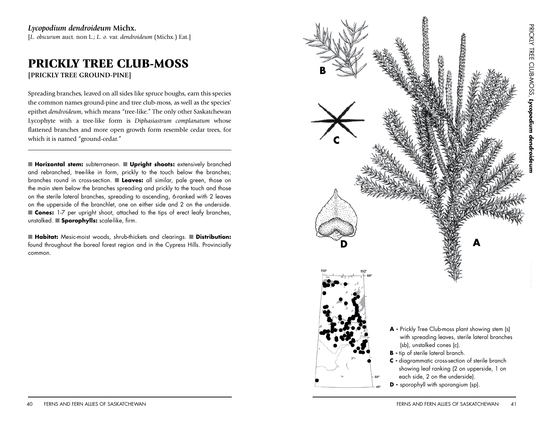[*L. obscurum* auct. non L.; *L. o.* var. *dendroideum* (Michx.) Eat.]

## PRICKLY TREE CLUB-MOSS **[PRICKLY TREE GROUND-PINE]**

Spreading branches, leaved on all sides like spruce boughs, earn this species the common names ground-pine and tree club-moss, as well as the species' epithet *dendroideum*, which means "tree-like." The only other Saskatchewan Lycophyte with a tree-like form is *Diphasiastrum complanatum* whose flattened branches and more open growth form resemble cedar trees, for which it is named "ground-cedar."

Q**Horizontal stem:** subterranean. Q**Upright shoots:** extensively branched and rebranched, tree-like in form, prickly to the touch below the branches; branches round in cross-section. Q **Leaves:** all similar, pale green, those on the main stem below the branches spreading and prickly to the touch and those on the sterile lateral branches, spreading to ascending, 6-ranked with 2 leaves on the upperside of the branchlet, one on either side and 2 on the underside. **Cones:** 1-7 per upright shoot, attached to the tips of erect leafy branches, unstalked. Q**Sporophylls:** scale-like, firm.

■ Habitat: Mesic-moist woods, shrub-thickets and clearings. ■ Distribution: found throughout the boreal forest region and in the Cypress Hills. Provincially common.